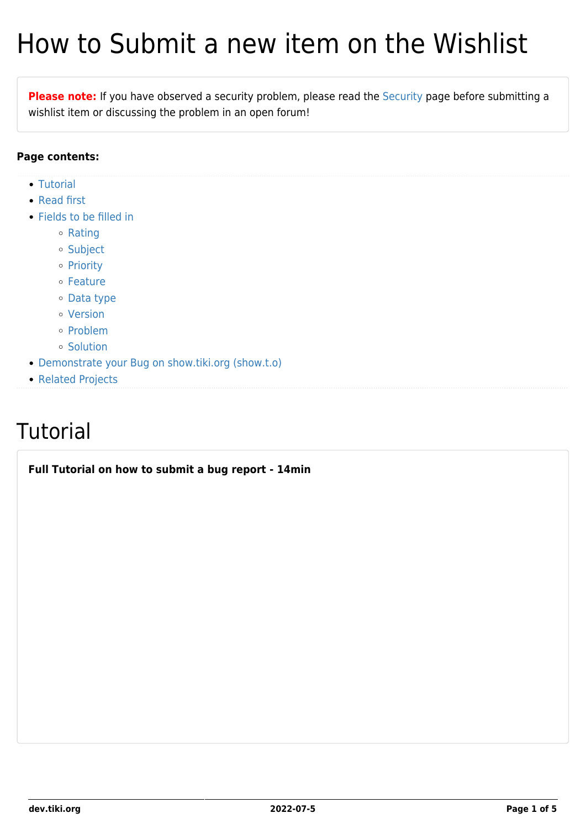# How to Submit a new item on the Wishlist

**Please note:** If you have observed a security problem, please read the [Security](https://dev.tiki.org/Security) page before submitting a wishlist item or discussing the problem in an open forum!

#### **Page contents:**

- [Tutorial](#page--1-0)
- [Read first](#page--1-0)
- [Fields to be filled in](#page--1-0)
	- [Rating](#page--1-0)
	- o [Subject](#page--1-0)
	- o [Priority](#page--1-0)
	- o [Feature](#page--1-0)
	- [Data type](#page--1-0)
	- [Version](#page--1-0)
	- o [Problem](#page--1-0)
	- o [Solution](#page--1-0)
- [Demonstrate your Bug on show.tiki.org \(show.t.o\)](#Demonstrate_your_Bug_on_show.tiki.org_show.t.o_)
- [Related Projects](#page--1-0)

# **Tutorial**

**Full Tutorial on how to submit a bug report - 14min**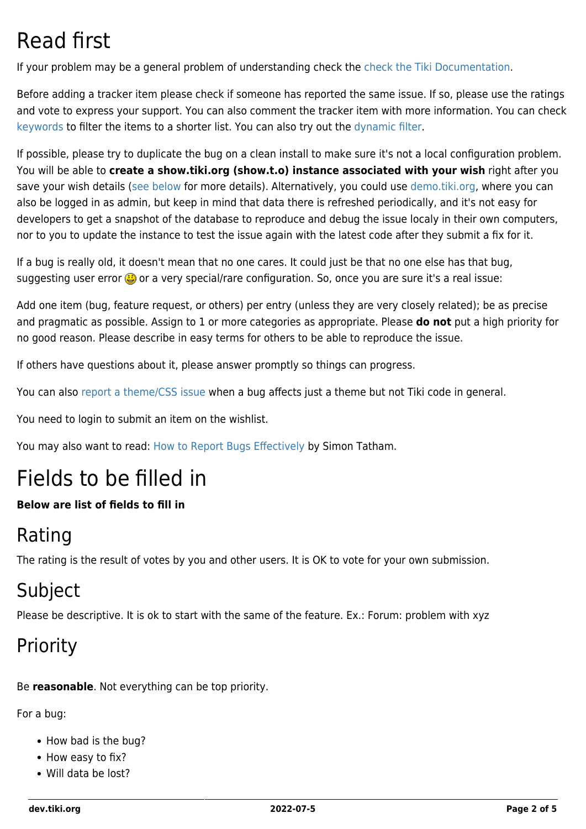# Read first

If your problem may be a general problem of understanding check the [check the Tiki Documentation](http://doc.tiki.org/Documentation).

Before adding a tracker item please check if someone has reported the same issue. If so, please use the ratings and vote to express your support. You can also comment the tracker item with more information. You can check [keywords](https://dev.tiki.org/Keywords) to filter the items to a shorter list. You can also try out the [dynamic filter.](https://dev.tiki.org/Dynamic-Filter)

If possible, please try to duplicate the bug on a clean install to make sure it's not a local configuration problem. You will be able to **create a show.tiki.org (show.t.o) instance associated with your wish** right after you save your wish details [\(see below](#page--1-0) for more details). Alternatively, you could use [demo.tiki.org](http://tiki.org/demo.tiki.org), where you can also be logged in as admin, but keep in mind that data there is refreshed periodically, and it's not easy for developers to get a snapshot of the database to reproduce and debug the issue localy in their own computers, nor to you to update the instance to test the issue again with the latest code after they submit a fix for it.

If a bug is really old, it doesn't mean that no one cares. It could just be that no one else has that bug, suggesting user error  $\ddot{\bullet}$  or a very special/rare configuration. So, once you are sure it's a real issue:

Add one item (bug, feature request, or others) per entry (unless they are very closely related); be as precise and pragmatic as possible. Assign to 1 or more categories as appropriate. Please **do not** put a high priority for no good reason. Please describe in easy terms for others to be able to reproduce the issue.

If others have questions about it, please answer promptly so things can progress.

You can also [report a theme/CSS issue](http://themes.tiki.org/tiki-view_tracker.php?trackerId=2) when a bug affects just a theme but not Tiki code in general.

You need to login to submit an item on the wishlist.

You may also want to read: [How to Report Bugs Effectively](http://www.chiark.greenend.org.uk/~sgtatham/bugs.html) by Simon Tatham.

# Fields to be filled in

#### **Below are list of fields to fill in**

### Rating

The rating is the result of votes by you and other users. It is OK to vote for your own submission.

## Subject

Please be descriptive. It is ok to start with the same of the feature. Ex.: Forum: problem with xyz

## Priority

Be **reasonable**. Not everything can be top priority.

For a bug:

- How bad is the bug?
- How easy to fix?
- Will data be lost?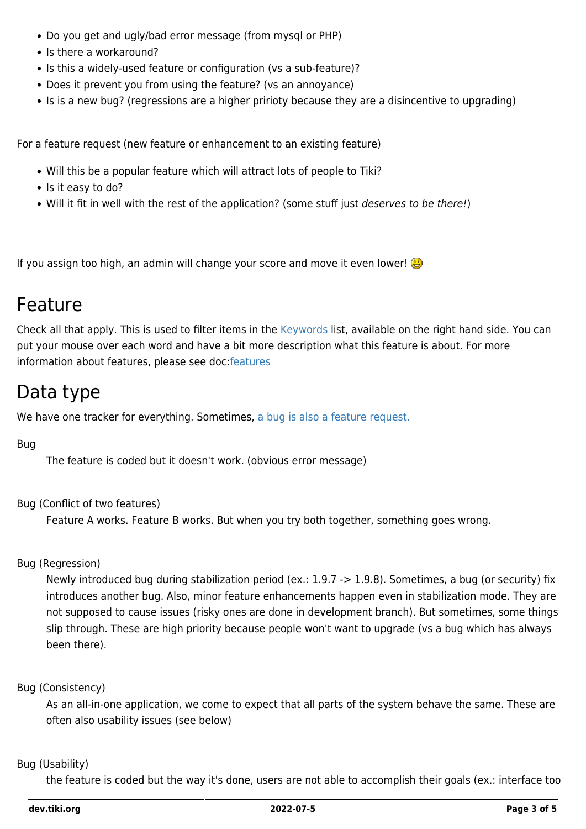- Do you get and ugly/bad error message (from mysql or PHP)
- Is there a workaround?
- Is this a widely-used feature or configuration (vs a sub-feature)?
- Does it prevent you from using the feature? (vs an annoyance)
- Is is a new bug? (regressions are a higher pririoty because they are a disincentive to upgrading)

For a feature request (new feature or enhancement to an existing feature)

- Will this be a popular feature which will attract lots of people to Tiki?
- Is it easy to do?
- . Will it fit in well with the rest of the application? (some stuff just *deserves to be there!*)

If you assign too high, an admin will change your score and move it even lower!

### Feature

Check all that apply. This is used to filter items in the [Keywords](https://dev.tiki.org/Keywords) list, available on the right hand side. You can put your mouse over each word and have a bit more description what this feature is about. For more information about features, please see doc:[features](http://doc.tiki.org/features)

### Data type

We have one tracker for everything. Sometimes, [a bug is also a feature request.](http://www.codinghorror.com/blog/archives/001189.html)

#### Bug

The feature is coded but it doesn't work. (obvious error message)

#### Bug (Conflict of two features)

Feature A works. Feature B works. But when you try both together, something goes wrong.

#### Bug (Regression)

Newly introduced bug during stabilization period (ex.: 1.9.7 -> 1.9.8). Sometimes, a bug (or security) fix introduces another bug. Also, minor feature enhancements happen even in stabilization mode. They are not supposed to cause issues (risky ones are done in development branch). But sometimes, some things slip through. These are high priority because people won't want to upgrade (vs a bug which has always been there).

#### Bug (Consistency)

As an all-in-one application, we come to expect that all parts of the system behave the same. These are often also usability issues (see below)

#### Bug (Usability)

the feature is coded but the way it's done, users are not able to accomplish their goals (ex.: interface too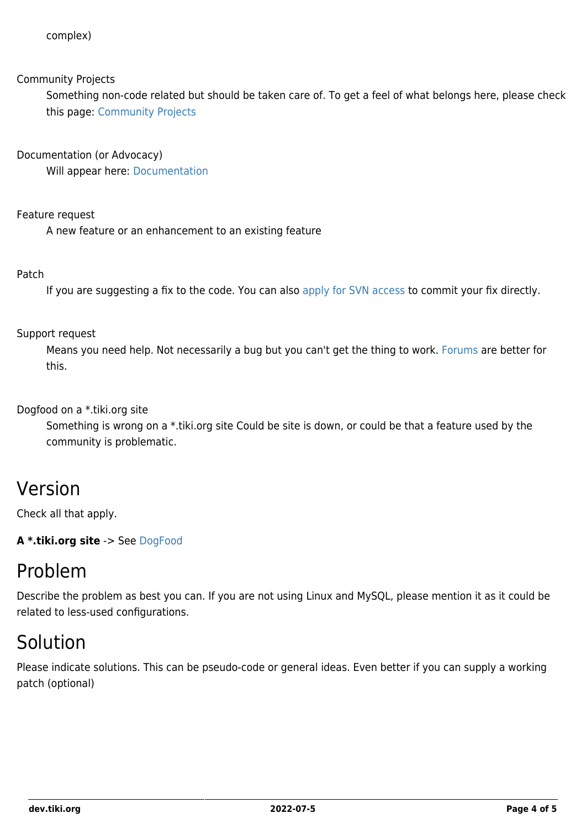#### Community Projects

Something non-code related but should be taken care of. To get a feel of what belongs here, please check this page: [Community Projects](https://dev.tiki.org/Community-Projects)

Documentation (or Advocacy)

Will appear here: [Documentation](https://dev.tiki.org/Documentation)

Feature request

A new feature or an enhancement to an existing feature

#### Patch

If you are suggesting a fix to the code. You can also [apply for SVN access](https://dev.tiki.org/How-to-get-commit-access) to commit your fix directly.

#### Support request

Means you need help. Not necessarily a bug but you can't get the thing to work. [Forums](http://tiki.org/tiki-forums.php) are better for this.

Dogfood on a \*.tiki.org site

Something is wrong on a \*.tiki.org site Could be site is down, or could be that a feature used by the community is problematic.

### Version

Check all that apply.

**A \*.tiki.org site** -> See [DogFood](http://tiki.org/DogFood)

### Problem

Describe the problem as best you can. If you are not using Linux and MySQL, please mention it as it could be related to less-used configurations.

### Solution

Please indicate solutions. This can be pseudo-code or general ideas. Even better if you can supply a working patch (optional)